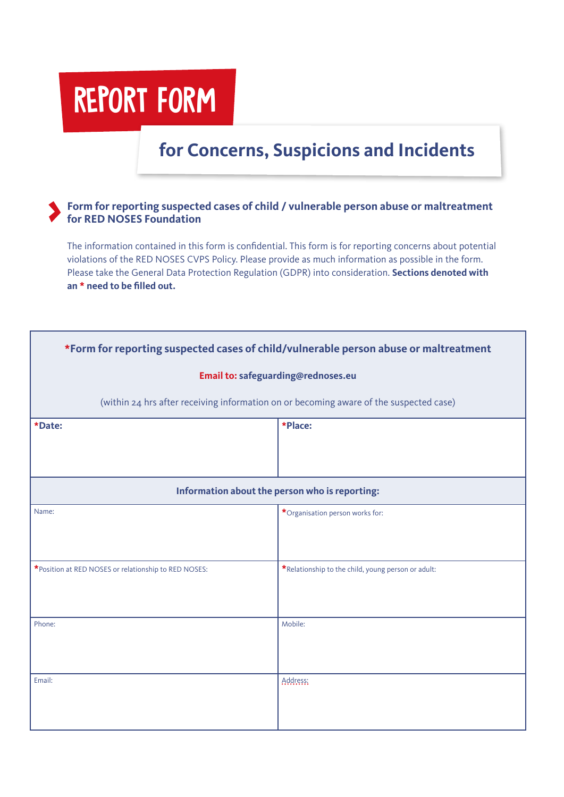## REPORT FORM

## **for Concerns, Suspicions and Incidents**

## **Form for reporting suspected cases of child / vulnerable person abuse or maltreatment for RED NOSES Foundation**

The information contained in this form is confidential. This form is for reporting concerns about potential violations of the RED NOSES CVPS Policy. Please provide as much information as possible in the form. Please take the General Data Protection Regulation (GDPR) into consideration. **Sections denoted with an \* need to be filled out.** 

| *Form for reporting suspected cases of child/vulnerable person abuse or maltreatment   |                                                    |  |  |  |
|----------------------------------------------------------------------------------------|----------------------------------------------------|--|--|--|
| Email to: safeguarding@rednoses.eu                                                     |                                                    |  |  |  |
| (within 24 hrs after receiving information on or becoming aware of the suspected case) |                                                    |  |  |  |
| *Date:                                                                                 | *Place:                                            |  |  |  |
|                                                                                        |                                                    |  |  |  |
| Information about the person who is reporting:                                         |                                                    |  |  |  |
| Name:                                                                                  | *Organisation person works for:                    |  |  |  |
|                                                                                        |                                                    |  |  |  |
| *Position at RED NOSES or relationship to RED NOSES:                                   | *Relationship to the child, young person or adult: |  |  |  |
|                                                                                        |                                                    |  |  |  |
| Phone:                                                                                 | Mobile:                                            |  |  |  |
|                                                                                        |                                                    |  |  |  |
| Email:                                                                                 | Address:                                           |  |  |  |
|                                                                                        |                                                    |  |  |  |
|                                                                                        |                                                    |  |  |  |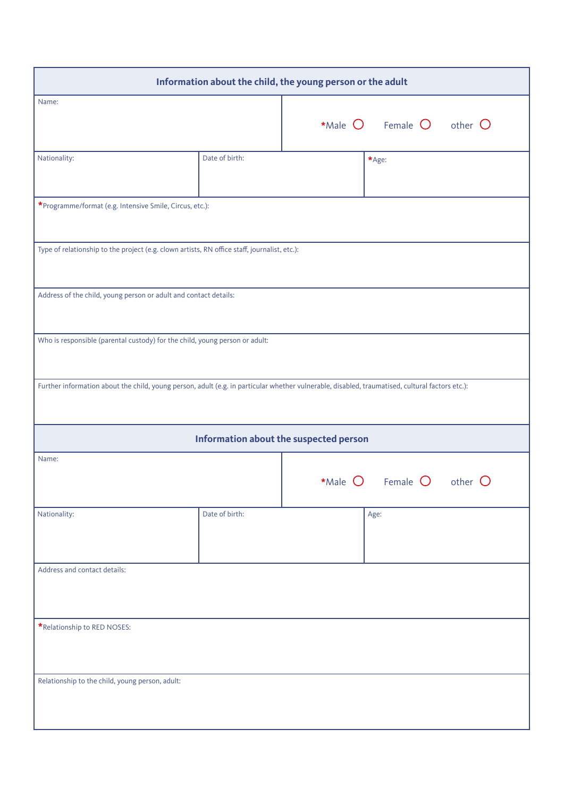| Information about the child, the young person or the adult                                                                                      |                                        |                                |                                                     |  |  |
|-------------------------------------------------------------------------------------------------------------------------------------------------|----------------------------------------|--------------------------------|-----------------------------------------------------|--|--|
| Name:                                                                                                                                           |                                        |                                | *Male $\bigcirc$ Female $\bigcirc$ other $\bigcirc$ |  |  |
| Nationality:                                                                                                                                    | Date of birth:                         |                                | $\star$ Age:                                        |  |  |
| *Programme/format (e.g. Intensive Smile, Circus, etc.):                                                                                         |                                        |                                |                                                     |  |  |
| Type of relationship to the project (e.g. clown artists, RN office staff, journalist, etc.):                                                    |                                        |                                |                                                     |  |  |
| Address of the child, young person or adult and contact details:                                                                                |                                        |                                |                                                     |  |  |
| Who is responsible (parental custody) for the child, young person or adult:                                                                     |                                        |                                |                                                     |  |  |
| Further information about the child, young person, adult (e.g. in particular whether vulnerable, disabled, traumatised, cultural factors etc.): |                                        |                                |                                                     |  |  |
|                                                                                                                                                 | Information about the suspected person |                                |                                                     |  |  |
| Name:                                                                                                                                           |                                        | *Male $O$ Female $O$ other $O$ |                                                     |  |  |
| Nationality:                                                                                                                                    | Date of birth:                         |                                | Age:                                                |  |  |
| Address and contact details:                                                                                                                    |                                        |                                |                                                     |  |  |
| *Relationship to RED NOSES:                                                                                                                     |                                        |                                |                                                     |  |  |
| Relationship to the child, young person, adult:                                                                                                 |                                        |                                |                                                     |  |  |